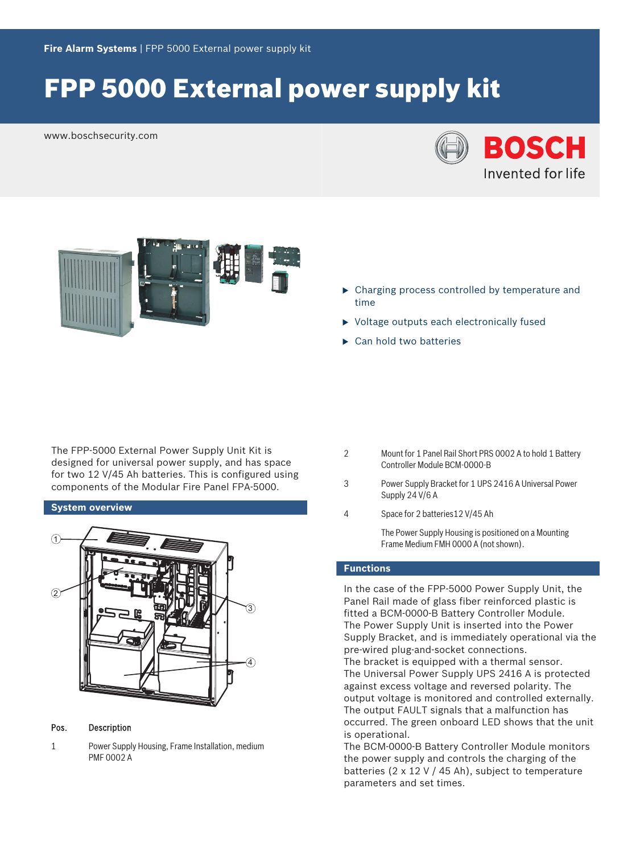# FPP 5000 External power supply kit

www.boschsecurity.com





- $\triangleright$  Charging process controlled by temperature and time
- $\triangleright$  Voltage outputs each electronically fused
- $\blacktriangleright$  Can hold two batteries

The FPP‑5000 External Power Supply Unit Kit is designed for universal power supply, and has space for two 12 V/45 Ah batteries. This is configured using components of the Modular Fire Panel FPA‑5000.

### **System overview**



Pos. Description

1 Power Supply Housing, Frame Installation, medium PMF 0002 A

- 2 Mount for 1 Panel Rail Short PRS 0002 A to hold 1 Battery Controller Module BCM‑0000‑B
- 3 Power Supply Bracket for 1 UPS 2416 A Universal Power Supply 24 V/6 A
- 4 Space for 2 batteries12 V/45 Ah

The Power Supply Housing is positioned on a Mounting Frame Medium FMH 0000 A (not shown).

### **Functions**

In the case of the FPP‑5000 Power Supply Unit, the Panel Rail made of glass fiber reinforced plastic is fitted a BCM‑0000‑B Battery Controller Module. The Power Supply Unit is inserted into the Power Supply Bracket, and is immediately operational via the pre-wired plug-and-socket connections.

The bracket is equipped with a thermal sensor. The Universal Power Supply UPS 2416 A is protected against excess voltage and reversed polarity. The output voltage is monitored and controlled externally. The output FAULT signals that a malfunction has occurred. The green onboard LED shows that the unit is operational.

The BCM‑0000‑B Battery Controller Module monitors the power supply and controls the charging of the batteries (2 x 12 V / 45 Ah), subject to temperature parameters and set times.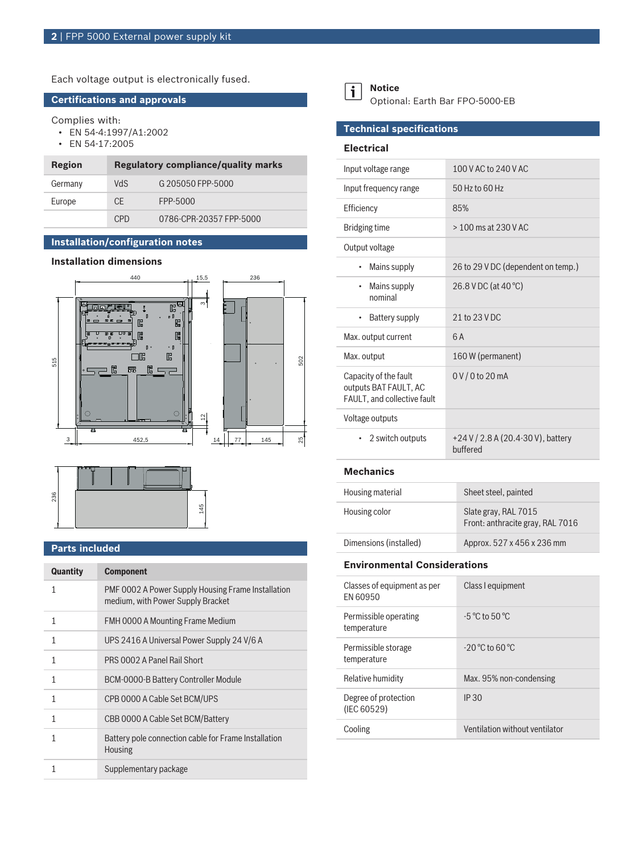Each voltage output is electronically fused.

#### **Certifications and approvals**

Complies with:

- EN 54-4:1997/A1:2002
- EN 54-17:2005

| Region  | <b>Regulatory compliance/quality marks</b> |                         |
|---------|--------------------------------------------|-------------------------|
| Germany | <b>ChV</b>                                 | G 205050 FPP-5000       |
| Europe  | CF.                                        | FPP-5000                |
|         | C <sub>PD</sub>                            | 0786-CPR-20357 FPP-5000 |

## **Installation/configuration notes**

#### **Installation dimensions**





#### **Parts included**

| Quantity | <b>Component</b>                                                                        |
|----------|-----------------------------------------------------------------------------------------|
| 1        | PMF 0002 A Power Supply Housing Frame Installation<br>medium, with Power Supply Bracket |
| 1        | FMH 0000 A Mounting Frame Medium                                                        |
| 1        | UPS 2416 A Universal Power Supply 24 V/6 A                                              |
| 1        | PRS 0002 A Panel Rail Short                                                             |
| 1        | BCM-0000-B Battery Controller Module                                                    |
| 1        | CPB 0000 A Cable Set BCM/UPS                                                            |
| 1        | CBB 0000 A Cable Set BCM/Battery                                                        |
| 1        | Battery pole connection cable for Frame Installation<br><b>Housing</b>                  |
|          | Supplementary package                                                                   |



Optional: Earth Bar FPO‑5000‑EB

#### **Technical specifications**

#### **Electrical**

| Input voltage range                                                           | 100 V AC to 240 V AC                           |
|-------------------------------------------------------------------------------|------------------------------------------------|
| Input frequency range                                                         | 50 Hz to 60 Hz                                 |
| Efficiency                                                                    | 85%                                            |
| Bridging time                                                                 | $> 100$ ms at 230 V AC                         |
| Output voltage                                                                |                                                |
| Mains supply                                                                  | 26 to 29 V DC (dependent on temp.)             |
| Mains supply<br>٠<br>nominal                                                  | 26.8 V DC (at 40 °C)                           |
| Battery supply<br>٠                                                           | 21 to 23 V DC                                  |
| Max. output current                                                           | 6A                                             |
| Max. output                                                                   | 160 W (permanent)                              |
| Capacity of the fault<br>outputs BAT FAULT, AC<br>FAULT, and collective fault | $0 V / 0$ to 20 mA                             |
| Voltage outputs                                                               |                                                |
| 2 switch outputs<br>٠                                                         | +24 V / 2.8 A (20.4-30 V), battery<br>buffered |

#### **Mechanics**

| Housing material       | Sheet steel, painted                                     |
|------------------------|----------------------------------------------------------|
| Housing color          | Slate gray, RAL 7015<br>Front: anthracite gray, RAL 7016 |
| Dimensions (installed) | Approx. 527 x 456 x 236 mm                               |

#### **Environmental Considerations**

| Classes of equipment as per<br><b>FN 60950</b> | Class I equipment                  |
|------------------------------------------------|------------------------------------|
| Permissible operating<br>temperature           | $-5^{\circ}$ C to $50^{\circ}$ C   |
| Permissible storage<br>temperature             | $-20^{\circ}$ C to 60 $^{\circ}$ C |
| Relative humidity                              | Max. 95% non-condensing            |
| Degree of protection<br>(IEC 60529)            | <b>IP 30</b>                       |
| Cooling                                        | Ventilation without ventilator     |